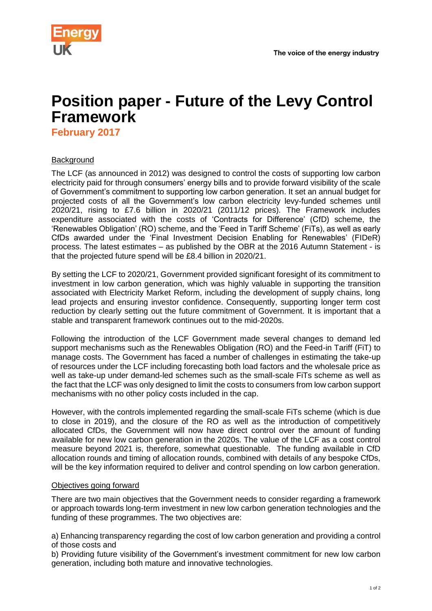

## **Position paper - Future of the Levy Control Framework**

**February 2017**

## **Background**

The LCF (as announced in 2012) was designed to control the costs of supporting low carbon electricity paid for through consumers' energy bills and to provide forward visibility of the scale of Government's commitment to supporting low carbon generation. It set an annual budget for projected costs of all the Government's low carbon electricity levy-funded schemes until 2020/21, rising to £7.6 billion in 2020/21 (2011/12 prices). The Framework includes expenditure associated with the costs of 'Contracts for Difference' (CfD) scheme, the 'Renewables Obligation' (RO) scheme, and the 'Feed in Tariff Scheme' (FiTs), as well as early CfDs awarded under the 'Final Investment Decision Enabling for Renewables' (FIDeR) process. The latest estimates – as published by the OBR at the 2016 Autumn Statement - is that the projected future spend will be £8.4 billion in 2020/21.

By setting the LCF to 2020/21, Government provided significant foresight of its commitment to investment in low carbon generation, which was highly valuable in supporting the transition associated with Electricity Market Reform, including the development of supply chains, long lead projects and ensuring investor confidence. Consequently, supporting longer term cost reduction by clearly setting out the future commitment of Government. It is important that a stable and transparent framework continues out to the mid-2020s.

Following the introduction of the LCF Government made several changes to demand led support mechanisms such as the Renewables Obligation (RO) and the Feed-in Tariff (FiT) to manage costs. The Government has faced a number of challenges in estimating the take-up of resources under the LCF including forecasting both load factors and the wholesale price as well as take-up under demand-led schemes such as the small-scale FiTs scheme as well as the fact that the LCF was only designed to limit the costs to consumers from low carbon support mechanisms with no other policy costs included in the cap.

However, with the controls implemented regarding the small-scale FiTs scheme (which is due to close in 2019), and the closure of the RO as well as the introduction of competitively allocated CfDs, the Government will now have direct control over the amount of funding available for new low carbon generation in the 2020s. The value of the LCF as a cost control measure beyond 2021 is, therefore, somewhat questionable. The funding available in CfD allocation rounds and timing of allocation rounds, combined with details of any bespoke CfDs, will be the key information required to deliver and control spending on low carbon generation.

## Objectives going forward

There are two main objectives that the Government needs to consider regarding a framework or approach towards long-term investment in new low carbon generation technologies and the funding of these programmes. The two objectives are:

a) Enhancing transparency regarding the cost of low carbon generation and providing a control of those costs and

b) Providing future visibility of the Government's investment commitment for new low carbon generation, including both mature and innovative technologies.